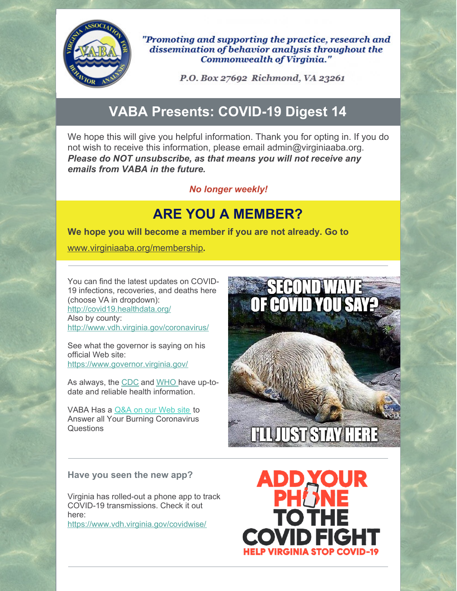

"Promoting and supporting the practice, research and dissemination of behavior analysis throughout the **Commonwealth of Virginia."** 

P.O. Box 27692 Richmond, VA 23261

# **VABA Presents: COVID-19 Digest 14**

We hope this will give you helpful information. Thank you for opting in. If you do not wish to receive this information, please email admin@virginiaaba.org. *Please do NOT unsubscribe, as that means you will not receive any emails from VABA in the future.*

#### *No longer weekly!*

## **ARE YOU A MEMBER?**

**We hope you will become a member if you are not already. Go to**

[www.virginiaaba.org/membership](http://www.virginiaaba.org/membership)**.**

You can find the latest updates on COVID-19 infections, recoveries, and deaths here (choose VA in dropdown): <http://covid19.healthdata.org/> Also by county: <http://www.vdh.virginia.gov/coronavirus/>

See what the governor is saying on his official Web site: <https://www.governor.virginia.gov/>

As always, the [CDC](https://www.cdc.gov/coronavirus/2019-nCoV/index.html) and [WHO](https://www.who.int/emergencies/diseases/novel-coronavirus-2019) have up-todate and reliable health information.

VABA Has a [Q&A](https://www.virginiaaba.org/information-on-covid-19/) on our Web site to Answer all Your Burning Coronavirus **Questions** 



#### **Have you seen the new app?**

Virginia has rolled-out a phone app to track COVID-19 transmissions. Check it out here: <https://www.vdh.virginia.gov/covidwise/>